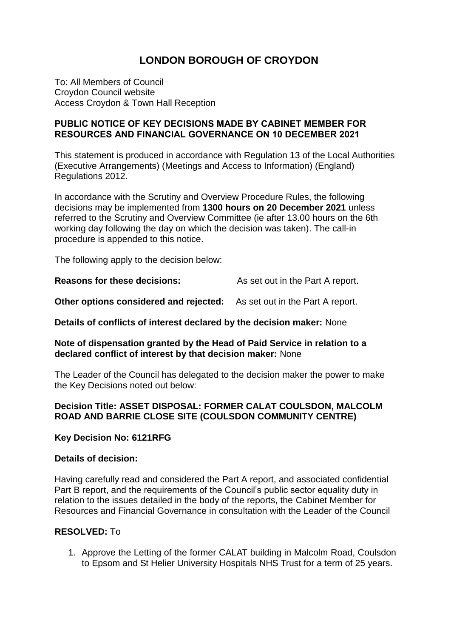# **LONDON BOROUGH OF CROYDON**

To: All Members of Council Croydon Council website Access Croydon & Town Hall Reception

#### **PUBLIC NOTICE OF KEY DECISIONS MADE BY CABINET MEMBER FOR RESOURCES AND FINANCIAL GOVERNANCE ON 10 DECEMBER 2021**

This statement is produced in accordance with Regulation 13 of the Local Authorities (Executive Arrangements) (Meetings and Access to Information) (England) Regulations 2012.

In accordance with the Scrutiny and Overview Procedure Rules, the following decisions may be implemented from **1300 hours on 20 December 2021** unless referred to the Scrutiny and Overview Committee (ie after 13.00 hours on the 6th working day following the day on which the decision was taken). The call-in procedure is appended to this notice.

The following apply to the decision below:

**Reasons for these decisions:** As set out in the Part A report.

**Other options considered and rejected:** As set out in the Part A report.

**Details of conflicts of interest declared by the decision maker:** None

#### **Note of dispensation granted by the Head of Paid Service in relation to a declared conflict of interest by that decision maker:** None

The Leader of the Council has delegated to the decision maker the power to make the Key Decisions noted out below:

## **Decision Title: ASSET DISPOSAL: FORMER CALAT COULSDON, MALCOLM ROAD AND BARRIE CLOSE SITE (COULSDON COMMUNITY CENTRE)**

#### **Key Decision No: 6121RFG**

#### **Details of decision:**

Having carefully read and considered the Part A report, and associated confidential Part B report, and the requirements of the Council's public sector equality duty in relation to the issues detailed in the body of the reports, the Cabinet Member for Resources and Financial Governance in consultation with the Leader of the Council

#### **RESOLVED:** To

1. Approve the Letting of the former CALAT building in Malcolm Road, Coulsdon to Epsom and St Helier University Hospitals NHS Trust for a term of 25 years.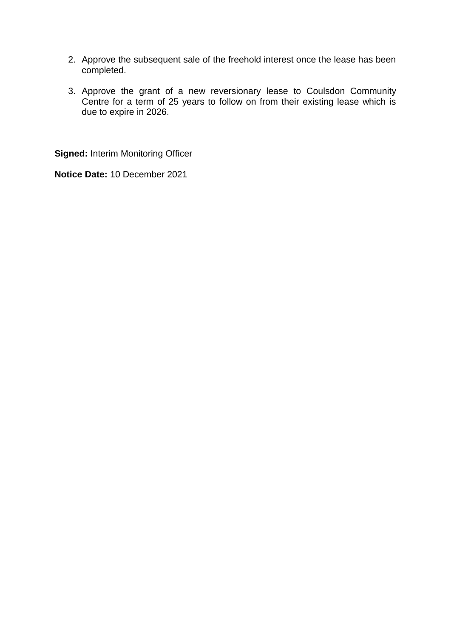- 2. Approve the subsequent sale of the freehold interest once the lease has been completed.
- 3. Approve the grant of a new reversionary lease to Coulsdon Community Centre for a term of 25 years to follow on from their existing lease which is due to expire in 2026.

**Signed:** Interim Monitoring Officer

**Notice Date:** 10 December 2021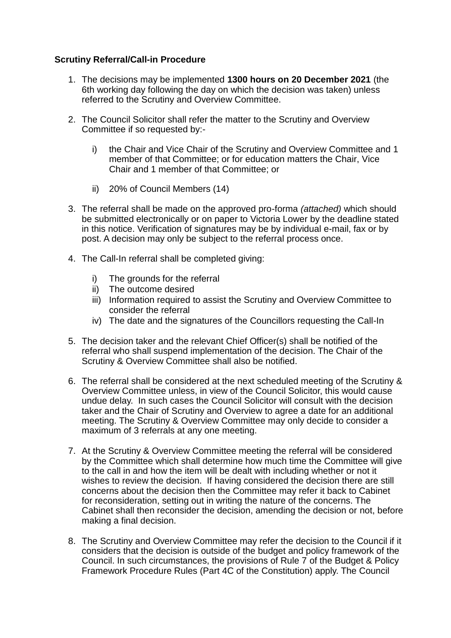## **Scrutiny Referral/Call-in Procedure**

- 1. The decisions may be implemented **1300 hours on 20 December 2021** (the 6th working day following the day on which the decision was taken) unless referred to the Scrutiny and Overview Committee.
- 2. The Council Solicitor shall refer the matter to the Scrutiny and Overview Committee if so requested by:
	- i) the Chair and Vice Chair of the Scrutiny and Overview Committee and 1 member of that Committee; or for education matters the Chair, Vice Chair and 1 member of that Committee; or
	- ii) 20% of Council Members (14)
- 3. The referral shall be made on the approved pro-forma *(attached)* which should be submitted electronically or on paper to Victoria Lower by the deadline stated in this notice. Verification of signatures may be by individual e-mail, fax or by post. A decision may only be subject to the referral process once.
- 4. The Call-In referral shall be completed giving:
	- i) The grounds for the referral
	- ii) The outcome desired
	- iii) Information required to assist the Scrutiny and Overview Committee to consider the referral
	- iv) The date and the signatures of the Councillors requesting the Call-In
- 5. The decision taker and the relevant Chief Officer(s) shall be notified of the referral who shall suspend implementation of the decision. The Chair of the Scrutiny & Overview Committee shall also be notified.
- 6. The referral shall be considered at the next scheduled meeting of the Scrutiny & Overview Committee unless, in view of the Council Solicitor, this would cause undue delay. In such cases the Council Solicitor will consult with the decision taker and the Chair of Scrutiny and Overview to agree a date for an additional meeting. The Scrutiny & Overview Committee may only decide to consider a maximum of 3 referrals at any one meeting.
- 7. At the Scrutiny & Overview Committee meeting the referral will be considered by the Committee which shall determine how much time the Committee will give to the call in and how the item will be dealt with including whether or not it wishes to review the decision. If having considered the decision there are still concerns about the decision then the Committee may refer it back to Cabinet for reconsideration, setting out in writing the nature of the concerns. The Cabinet shall then reconsider the decision, amending the decision or not, before making a final decision.
- 8. The Scrutiny and Overview Committee may refer the decision to the Council if it considers that the decision is outside of the budget and policy framework of the Council. In such circumstances, the provisions of Rule 7 of the Budget & Policy Framework Procedure Rules (Part 4C of the Constitution) apply. The Council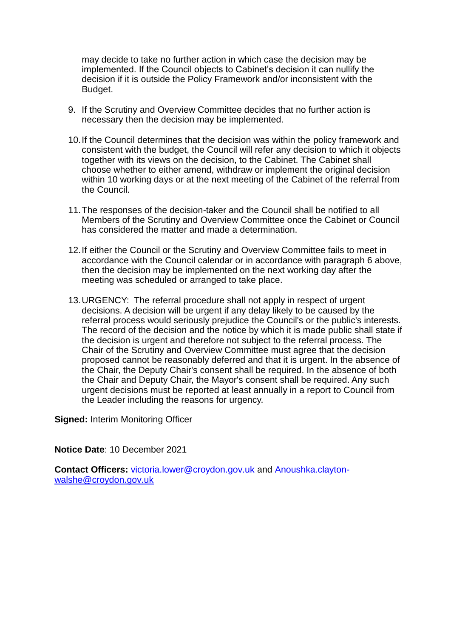may decide to take no further action in which case the decision may be implemented. If the Council objects to Cabinet's decision it can nullify the decision if it is outside the Policy Framework and/or inconsistent with the Budget.

- 9. If the Scrutiny and Overview Committee decides that no further action is necessary then the decision may be implemented.
- 10.If the Council determines that the decision was within the policy framework and consistent with the budget, the Council will refer any decision to which it objects together with its views on the decision, to the Cabinet. The Cabinet shall choose whether to either amend, withdraw or implement the original decision within 10 working days or at the next meeting of the Cabinet of the referral from the Council.
- 11.The responses of the decision-taker and the Council shall be notified to all Members of the Scrutiny and Overview Committee once the Cabinet or Council has considered the matter and made a determination.
- 12.If either the Council or the Scrutiny and Overview Committee fails to meet in accordance with the Council calendar or in accordance with paragraph 6 above, then the decision may be implemented on the next working day after the meeting was scheduled or arranged to take place.
- 13.URGENCY: The referral procedure shall not apply in respect of urgent decisions. A decision will be urgent if any delay likely to be caused by the referral process would seriously prejudice the Council's or the public's interests. The record of the decision and the notice by which it is made public shall state if the decision is urgent and therefore not subject to the referral process. The Chair of the Scrutiny and Overview Committee must agree that the decision proposed cannot be reasonably deferred and that it is urgent. In the absence of the Chair, the Deputy Chair's consent shall be required. In the absence of both the Chair and Deputy Chair, the Mayor's consent shall be required. Any such urgent decisions must be reported at least annually in a report to Council from the Leader including the reasons for urgency.

**Signed:** Interim Monitoring Officer

**Notice Date**: 10 December 2021

**Contact Officers:** [victoria.lower@croydon.gov.uk](mailto:victoria.lower@croydon.gov.uk) and [Anoushka.clayton](mailto:Anoushka.clayton-walshe@croydon.gov.uk)[walshe@croydon.gov.uk](mailto:Anoushka.clayton-walshe@croydon.gov.uk)